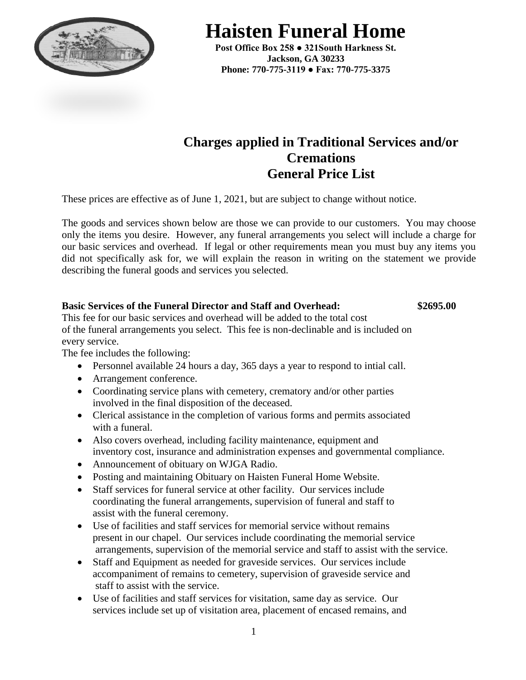

**Haisten Funeral Home**

**Post Office Box 258 ● 321South Harkness St. Jackson, GA 30233 Phone: 770-775-3119 ● Fax: 770-775-3375**

# **Charges applied in Traditional Services and/or Cremations General Price List**

These prices are effective as of June 1, 2021, but are subject to change without notice.

The goods and services shown below are those we can provide to our customers. You may choose only the items you desire. However, any funeral arrangements you select will include a charge for our basic services and overhead. If legal or other requirements mean you must buy any items you did not specifically ask for, we will explain the reason in writing on the statement we provide describing the funeral goods and services you selected.

### **Basic Services of the Funeral Director and Staff and Overhead: \$2695.00**

This fee for our basic services and overhead will be added to the total cost of the funeral arrangements you select. This fee is non-declinable and is included on every service.

The fee includes the following:

- Personnel available 24 hours a day, 365 days a year to respond to intial call.
- Arrangement conference.
- Coordinating service plans with cemetery, crematory and/or other parties involved in the final disposition of the deceased.
- Clerical assistance in the completion of various forms and permits associated with a funeral.
- Also covers overhead, including facility maintenance, equipment and inventory cost, insurance and administration expenses and governmental compliance.
- Announcement of obituary on WJGA Radio.
- Posting and maintaining Obituary on Haisten Funeral Home Website.
- Staff services for funeral service at other facility. Our services include coordinating the funeral arrangements, supervision of funeral and staff to assist with the funeral ceremony.
- Use of facilities and staff services for memorial service without remains present in our chapel. Our services include coordinating the memorial service arrangements, supervision of the memorial service and staff to assist with the service.
- Staff and Equipment as needed for graveside services. Our services include accompaniment of remains to cemetery, supervision of graveside service and staff to assist with the service.
- Use of facilities and staff services for visitation, same day as service. Our services include set up of visitation area, placement of encased remains, and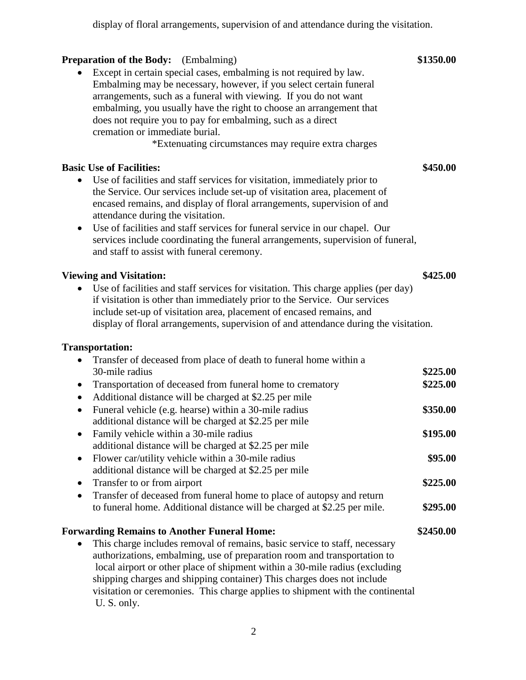display of floral arrangements, supervision of and attendance during the visitation.

## **Preparation of the Body:** (Embalming) \$1350.00

 Except in certain special cases, embalming is not required by law. Embalming may be necessary, however, if you select certain funeral arrangements, such as a funeral with viewing. If you do not want embalming, you usually have the right to choose an arrangement that does not require you to pay for embalming, such as a direct cremation or immediate burial.

\*Extenuating circumstances may require extra charges

### **Basic Use of Facilities: \$450.00**

- Use of facilities and staff services for visitation, immediately prior to the Service. Our services include set-up of visitation area, placement of encased remains, and display of floral arrangements, supervision of and attendance during the visitation.
- Use of facilities and staff services for funeral service in our chapel. Our services include coordinating the funeral arrangements, supervision of funeral, and staff to assist with funeral ceremony.

### **Viewing and Visitation: \$425.00**

 Use of facilities and staff services for visitation. This charge applies (per day) if visitation is other than immediately prior to the Service. Our services include set-up of visitation area, placement of encased remains, and display of floral arrangements, supervision of and attendance during the visitation.

### **Transportation:**

| Transfer of deceased from place of death to funeral home within a                  |           |
|------------------------------------------------------------------------------------|-----------|
| 30-mile radius                                                                     | \$225.00  |
| Transportation of deceased from funeral home to crematory<br>$\bullet$             | \$225.00  |
| Additional distance will be charged at \$2.25 per mile                             |           |
| Funeral vehicle (e.g. hearse) within a 30-mile radius<br>$\bullet$                 | \$350.00  |
| additional distance will be charged at \$2.25 per mile                             |           |
| Family vehicle within a 30-mile radius                                             | \$195.00  |
| additional distance will be charged at \$2.25 per mile                             |           |
| Flower car/utility vehicle within a 30-mile radius<br>$\bullet$                    | \$95.00   |
| additional distance will be charged at \$2.25 per mile                             |           |
| Transfer to or from airport<br>$\bullet$                                           | \$225.00  |
| Transfer of deceased from funeral home to place of autopsy and return<br>$\bullet$ |           |
| to funeral home. Additional distance will be charged at \$2.25 per mile.           | \$295.00  |
| <b>Forwarding Remains to Another Funeral Home:</b>                                 | \$2450.00 |
| This charge includes removal of remains, basic service to staff, necessary         |           |
| authorizations, embalming, use of preparation room and transportation to           |           |
| local airport or other place of shipment within a 30-mile radius (excluding        |           |
| shipping charges and shipping container) This charges does not include             |           |
| visitation or ceremonies. This charge applies to shipment with the continental     |           |

U. S. only.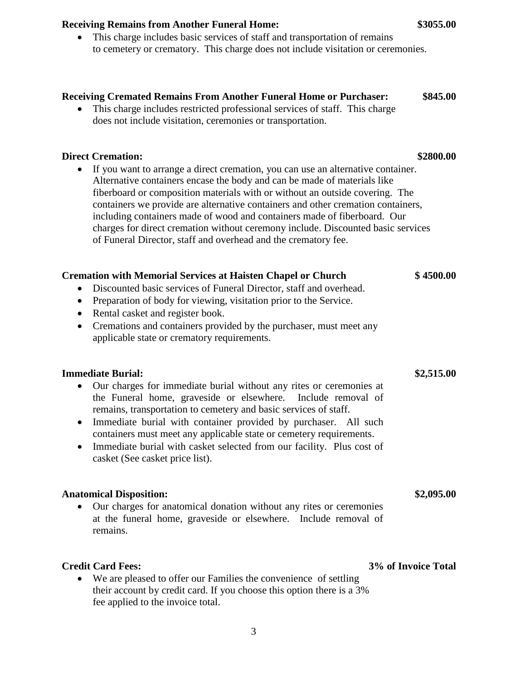## **Receiving Cremated Remains From Another Funeral Home or Purchaser: \$845.00**

 This charge includes restricted professional services of staff. This charge does not include visitation, ceremonies or transportation.

## **Direct Cremation: \$2800.00**

 If you want to arrange a direct cremation, you can use an alternative container. Alternative containers encase the body and can be made of materials like fiberboard or composition materials with or without an outside covering. The containers we provide are alternative containers and other cremation containers, including containers made of wood and containers made of fiberboard. Our charges for direct cremation without ceremony include. Discounted basic services of Funeral Director, staff and overhead and the crematory fee.

## **Cremation with Memorial Services at Haisten Chapel or Church \$ 4500.00**

- Discounted basic services of Funeral Director, staff and overhead.
- Preparation of body for viewing, visitation prior to the Service.
- Rental casket and register book.
- Cremations and containers provided by the purchaser, must meet any applicable state or crematory requirements.

## **Immediate Burial: \$2,515.00**

- Our charges for immediate burial without any rites or ceremonies at the Funeral home, graveside or elsewhere. Include removal of remains, transportation to cemetery and basic services of staff.
- Immediate burial with container provided by purchaser. All such containers must meet any applicable state or cemetery requirements.
- Immediate burial with casket selected from our facility. Plus cost of casket (See casket price list).

## **Anatomical Disposition: \$2,095.00**

 Our charges for anatomical donation without any rites or ceremonies at the funeral home, graveside or elsewhere. Include removal of remains.

 We are pleased to offer our Families the convenience of settling their account by credit card. If you choose this option there is a 3% fee applied to the invoice total.

### **Credit Card Fees: 3% of Invoice Total**

### 3

## **Receiving Remains from Another Funeral Home: \$3055.00**